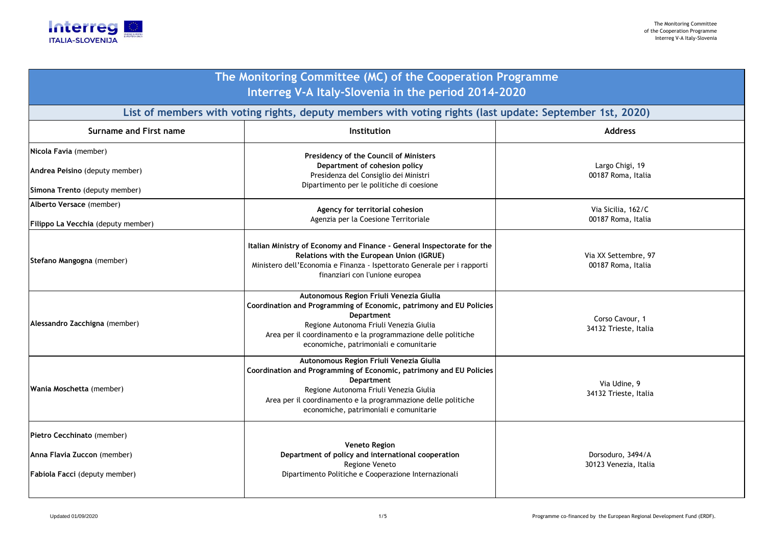

| The Monitoring Committee (MC) of the Cooperation Programme<br>Interreg V-A Italy-Slovenia in the period 2014-2020 |                                                                                                                                                                                                                                                                                   |                                            |  |  |
|-------------------------------------------------------------------------------------------------------------------|-----------------------------------------------------------------------------------------------------------------------------------------------------------------------------------------------------------------------------------------------------------------------------------|--------------------------------------------|--|--|
| List of members with voting rights, deputy members with voting rights (last update: September 1st, 2020)          |                                                                                                                                                                                                                                                                                   |                                            |  |  |
| <b>Surname and First name</b>                                                                                     | Institution                                                                                                                                                                                                                                                                       | <b>Address</b>                             |  |  |
| Nicola Favia (member)                                                                                             | Presidency of the Council of Ministers<br>Department of cohesion policy                                                                                                                                                                                                           | Largo Chigi, 19                            |  |  |
| Andrea Peisino (deputy member)<br>Simona Trento (deputy member)                                                   | Presidenza del Consiglio dei Ministri<br>Dipartimento per le politiche di coesione                                                                                                                                                                                                | 00187 Roma, Italia                         |  |  |
| Alberto Versace (member)                                                                                          | Agency for territorial cohesion                                                                                                                                                                                                                                                   | Via Sicilia, 162/C                         |  |  |
| Filippo La Vecchia (deputy member)                                                                                | Agenzia per la Coesione Territoriale                                                                                                                                                                                                                                              | 00187 Roma, Italia                         |  |  |
| Stefano Mangogna (member)                                                                                         | Italian Ministry of Economy and Finance - General Inspectorate for the<br>Relations with the European Union (IGRUE)<br>Ministero dell'Economia e Finanza - Ispettorato Generale per i rapporti<br>finanziari con l'unione europea                                                 | Via XX Settembre, 97<br>00187 Roma, Italia |  |  |
| Alessandro Zacchigna (member)                                                                                     | Autonomous Region Friuli Venezia Giulia<br>Coordination and Programming of Economic, patrimony and EU Policies<br>Department<br>Regione Autonoma Friuli Venezia Giulia<br>Area per il coordinamento e la programmazione delle politiche<br>economiche, patrimoniali e comunitarie | Corso Cavour, 1<br>34132 Trieste, Italia   |  |  |
| Wania Moschetta (member)                                                                                          | Autonomous Region Friuli Venezia Giulia<br>Coordination and Programming of Economic, patrimony and EU Policies<br>Department<br>Regione Autonoma Friuli Venezia Giulia<br>Area per il coordinamento e la programmazione delle politiche<br>economiche, patrimoniali e comunitarie | Via Udine, 9<br>34132 Trieste, Italia      |  |  |
| Pietro Cecchinato (member)<br>Anna Flavia Zuccon (member)<br>Fabiola Facci (deputy member)                        | <b>Veneto Region</b><br>Department of policy and international cooperation<br>Regione Veneto<br>Dipartimento Politiche e Cooperazione Internazionali                                                                                                                              | Dorsoduro, 3494/A<br>30123 Venezia, Italia |  |  |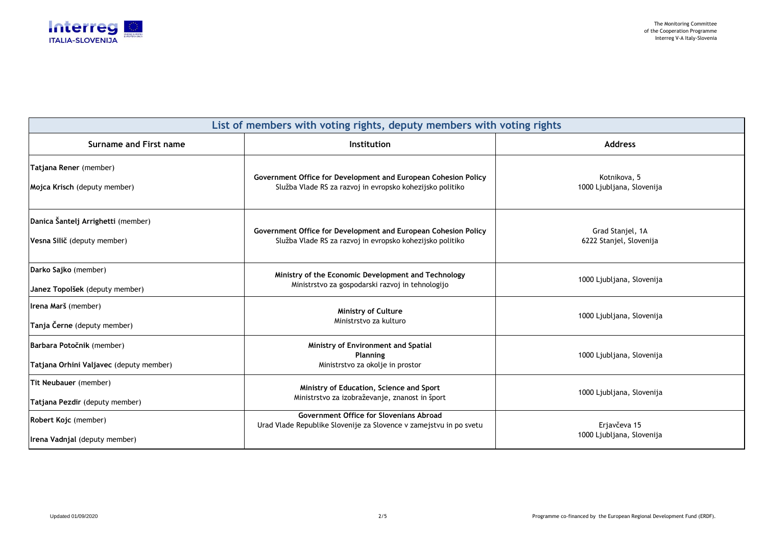

| List of members with voting rights, deputy members with voting rights |                                                                                                                             |                                             |  |  |
|-----------------------------------------------------------------------|-----------------------------------------------------------------------------------------------------------------------------|---------------------------------------------|--|--|
| Surname and First name                                                | <b>Institution</b>                                                                                                          | <b>Address</b>                              |  |  |
| Tatjana Rener (member)<br>Mojca Krisch (deputy member)                | Government Office for Development and European Cohesion Policy<br>Služba Vlade RS za razvoj in evropsko kohezijsko politiko | Kotnikova, 5<br>1000 Ljubljana, Slovenija   |  |  |
| Danica Šantelj Arrighetti (member)<br>Vesna Silič (deputy member)     | Government Office for Development and European Cohesion Policy<br>Služba Vlade RS za razvoj in evropsko kohezijsko politiko | Grad Stanjel, 1A<br>6222 Stanjel, Slovenija |  |  |
| Darko Sajko (member)<br>Janez Topolšek (deputy member)                | Ministry of the Economic Development and Technology<br>Ministrstvo za gospodarski razvoj in tehnologijo                     | 1000 Ljubljana, Slovenija                   |  |  |
| Irena Marš (member)<br>Tanja Černe (deputy member)                    | <b>Ministry of Culture</b><br>Ministrstvo za kulturo                                                                        | 1000 Ljubljana, Slovenija                   |  |  |
| Barbara Potočnik (member)<br>Tatjana Orhini Valjavec (deputy member)  | Ministry of Environment and Spatial<br><b>Planning</b><br>Ministrstvo za okolje in prostor                                  | 1000 Ljubljana, Slovenija                   |  |  |
| Tit Neubauer (member)<br>Tatjana Pezdir (deputy member)               | Ministry of Education, Science and Sport<br>Ministrstvo za izobraževanje, znanost in šport                                  | 1000 Ljubljana, Slovenija                   |  |  |
| Robert Kojc (member)<br>Irena Vadnjal (deputy member)                 | Government Office for Slovenians Abroad<br>Urad Vlade Republike Slovenije za Slovence v zamejstvu in po svetu               | Erjavčeva 15<br>1000 Ljubljana, Slovenija   |  |  |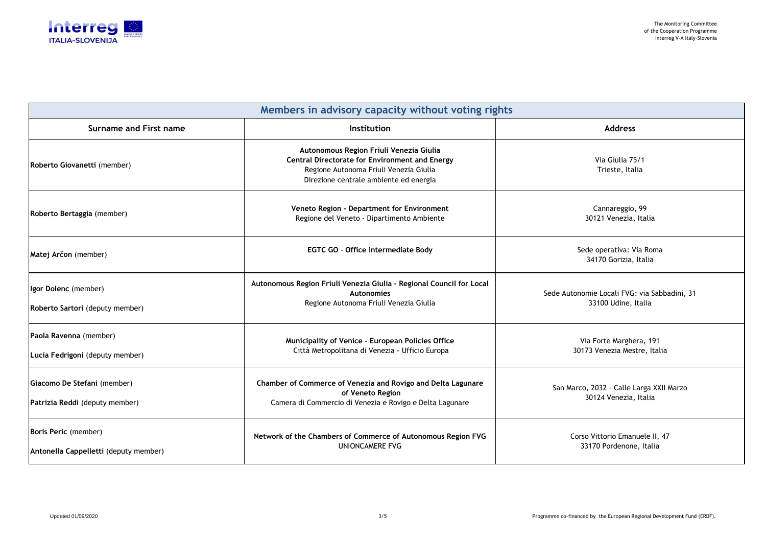

| Members in advisory capacity without voting rights            |                                                                                                                                                                                      |                                                                     |  |  |
|---------------------------------------------------------------|--------------------------------------------------------------------------------------------------------------------------------------------------------------------------------------|---------------------------------------------------------------------|--|--|
| Surname and First name                                        | Institution                                                                                                                                                                          | <b>Address</b>                                                      |  |  |
| Roberto Giovanetti (member)                                   | Autonomous Region Friuli Venezia Giulia<br><b>Central Directorate for Environment and Energy</b><br>Regione Autonoma Friuli Venezia Giulia<br>Direzione centrale ambiente ed energia | Via Giulia 75/1<br>Trieste, Italia                                  |  |  |
| Roberto Bertaggia (member)                                    | Veneto Region - Department for Environment<br>Regione del Veneto - Dipartimento Ambiente                                                                                             | Cannareggio, 99<br>30121 Venezia, Italia                            |  |  |
| Matej Arčon (member)                                          | <b>EGTC GO - Office intermediate Body</b>                                                                                                                                            | Sede operativa: Via Roma<br>34170 Gorizia, Italia                   |  |  |
| Igor Dolenc (member)<br>Roberto Sartori (deputy member)       | Autonomous Region Friuli Venezia Giulia - Regional Council for Local<br><b>Autonomies</b><br>Regione Autonoma Friuli Venezia Giulia                                                  | Sede Autonomie Locali FVG: via Sabbadini, 31<br>33100 Udine, Italia |  |  |
| Paola Ravenna (member)<br>Lucia Fedrigoni (deputy member)     | Municipality of Venice - European Policies Office<br>Città Metropolitana di Venezia - Ufficio Europa                                                                                 | Via Forte Marghera, 191<br>30173 Venezia Mestre, Italia             |  |  |
| Giacomo De Stefani (member)<br>Patrizia Reddi (deputy member) | Chamber of Commerce of Venezia and Rovigo and Delta Lagunare<br>of Veneto Region<br>Camera di Commercio di Venezia e Rovigo e Delta Lagunare                                         | San Marco, 2032 - Calle Larga XXII Marzo<br>30124 Venezia, Italia   |  |  |
| Boris Peric (member)<br>Antonella Cappelletti (deputy member) | Network of the Chambers of Commerce of Autonomous Region FVG<br><b>UNIONCAMERE FVG</b>                                                                                               | Corso Vittorio Emanuele II, 47<br>33170 Pordenone, Italia           |  |  |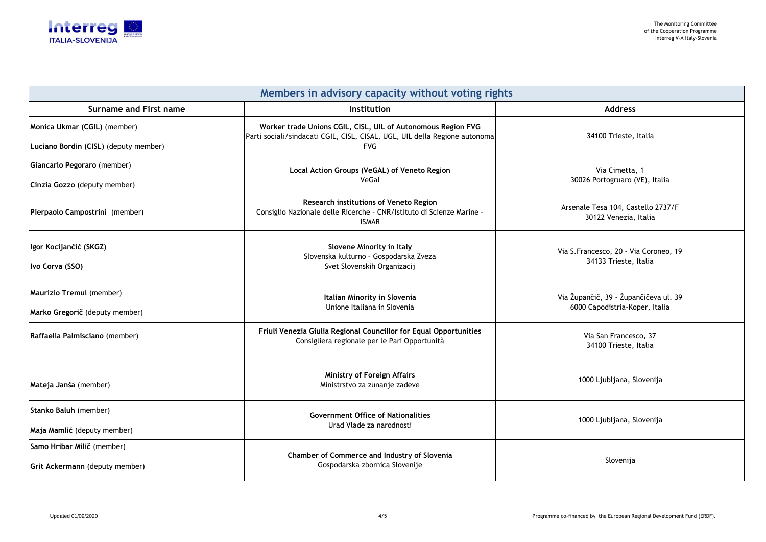

| Members in advisory capacity without voting rights |                                                                                                                                            |                                                             |  |  |
|----------------------------------------------------|--------------------------------------------------------------------------------------------------------------------------------------------|-------------------------------------------------------------|--|--|
| Surname and First name                             | Institution                                                                                                                                | <b>Address</b>                                              |  |  |
| Monica Ukmar (CGIL) (member)                       | Worker trade Unions CGIL, CISL, UIL of Autonomous Region FVG<br>Parti sociali/sindacati CGIL, CISL, CISAL, UGL, UIL della Regione autonoma | 34100 Trieste, Italia                                       |  |  |
| Luciano Bordin (CISL) (deputy member)              | <b>FVG</b>                                                                                                                                 |                                                             |  |  |
| Giancarlo Pegoraro (member)                        | Local Action Groups (VeGAL) of Veneto Region                                                                                               | Via Cimetta, 1                                              |  |  |
| Cinzia Gozzo (deputy member)                       | VeGal                                                                                                                                      | 30026 Portogruaro (VE), Italia                              |  |  |
| Pierpaolo Campostrini (member)                     | Research institutions of Veneto Region<br>Consiglio Nazionale delle Ricerche - CNR/Istituto di Scienze Marine -<br><b>ISMAR</b>            | Arsenale Tesa 104, Castello 2737/F<br>30122 Venezia, Italia |  |  |
| Igor Kocijančič (SKGZ)                             | Slovene Minority in Italy<br>Slovenska kulturno - Gospodarska Zveza                                                                        | Via S.Francesco, 20 - Via Coroneo, 19                       |  |  |
| Ivo Corva (SSO)                                    | Svet Slovenskih Organizacij                                                                                                                | 34133 Trieste, Italia                                       |  |  |
| Maurizio Tremul (member)                           | Italian Minority in Slovenia                                                                                                               | Via Župančič, 39 - Župančičeva ul. 39                       |  |  |
| Marko Gregorič (deputy member)                     | Unione Italiana in Slovenia                                                                                                                | 6000 Capodistria-Koper, Italia                              |  |  |
| Raffaella Palmisciano (member)                     | Friuli Venezia Giulia Regional Councillor for Equal Opportunities<br>Consigliera regionale per le Pari Opportunità                         | Via San Francesco, 37<br>34100 Trieste, Italia              |  |  |
| Mateja Janša (member)                              | <b>Ministry of Foreign Affairs</b><br>Ministrstvo za zunanje zadeve                                                                        | 1000 Ljubljana, Slovenija                                   |  |  |
| Stanko Baluh (member)                              | <b>Government Office of Nationalities</b>                                                                                                  | 1000 Ljubljana, Slovenija                                   |  |  |
| Maja Mamlić (deputy member)                        | Urad Vlade za narodnosti                                                                                                                   |                                                             |  |  |
| Samo Hribar Milič (member)                         | Chamber of Commerce and Industry of Slovenia<br>Gospodarska zbornica Slovenije                                                             |                                                             |  |  |
| Grit Ackermann (deputy member)                     |                                                                                                                                            | Slovenija                                                   |  |  |